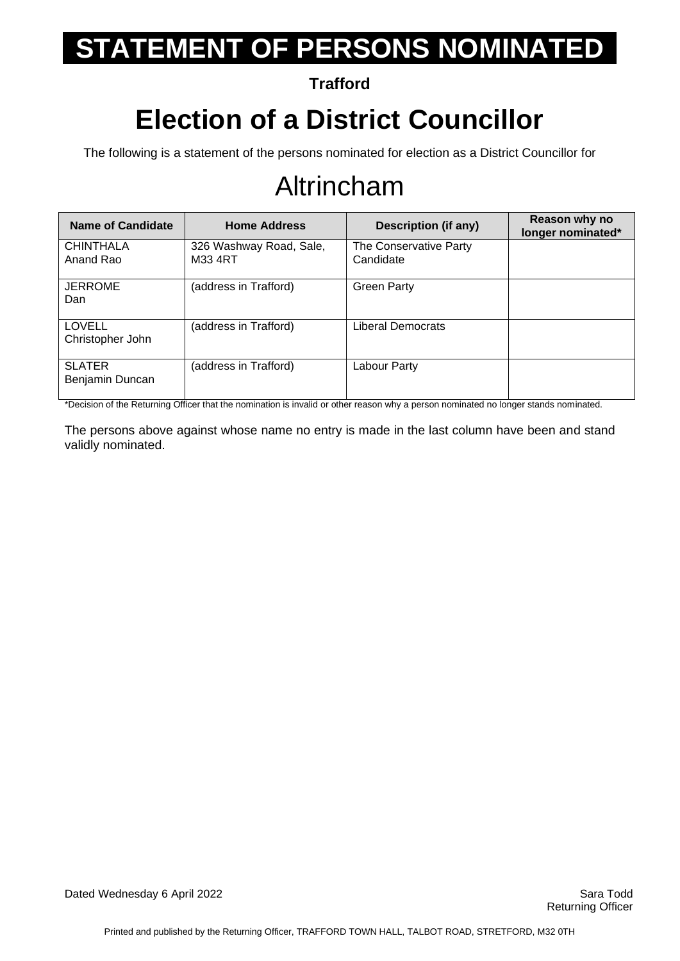**Trafford**

## **Election of a District Councillor**

The following is a statement of the persons nominated for election as a District Councillor for

## Altrincham

| Name of Candidate                 | <b>Home Address</b>                | Description (if any)                | Reason why no<br>longer nominated* |
|-----------------------------------|------------------------------------|-------------------------------------|------------------------------------|
| <b>CHINTHALA</b><br>Anand Rao     | 326 Washway Road, Sale,<br>M33 4RT | The Conservative Party<br>Candidate |                                    |
| <b>JERROME</b><br>Dan             | (address in Trafford)              | <b>Green Party</b>                  |                                    |
| <b>LOVELL</b><br>Christopher John | (address in Trafford)              | Liberal Democrats                   |                                    |
| <b>SLATER</b><br>Benjamin Duncan  | (address in Trafford)              | Labour Party                        |                                    |

\*Decision of the Returning Officer that the nomination is invalid or other reason why a person nominated no longer stands nominated.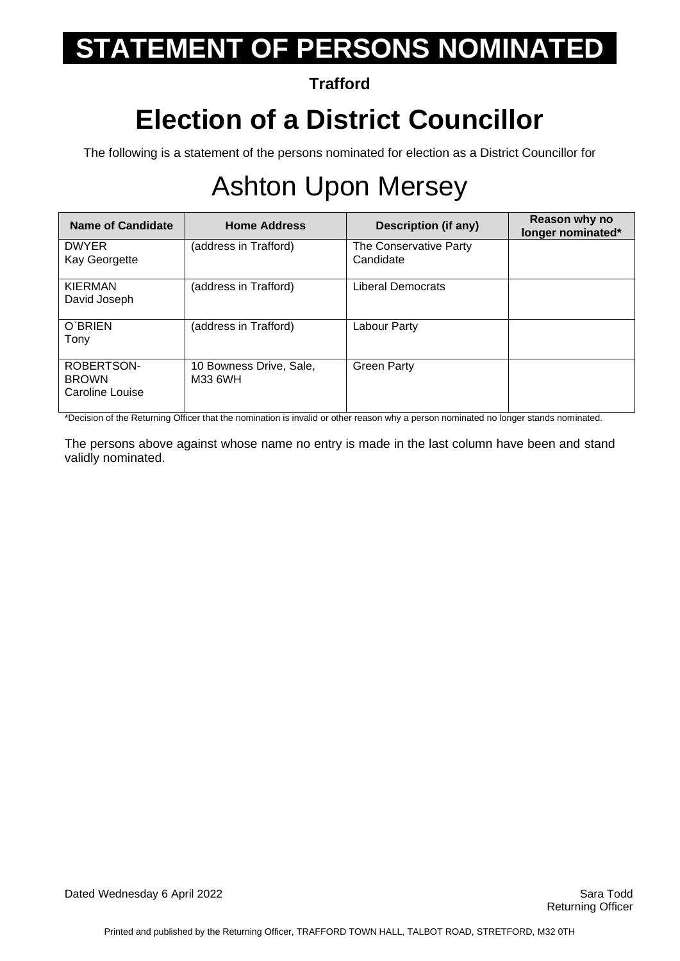#### **Trafford**

## **Election of a District Councillor**

The following is a statement of the persons nominated for election as a District Councillor for

## Ashton Upon Mersey

| Name of Candidate                             | <b>Home Address</b>                | Description (if any)                | Reason why no<br>longer nominated* |
|-----------------------------------------------|------------------------------------|-------------------------------------|------------------------------------|
| <b>DWYER</b><br>Kay Georgette                 | (address in Trafford)              | The Conservative Party<br>Candidate |                                    |
| <b>KIERMAN</b><br>David Joseph                | (address in Trafford)              | Liberal Democrats                   |                                    |
| O'BRIEN<br>Tony                               | (address in Trafford)              | Labour Party                        |                                    |
| ROBERTSON-<br><b>BROWN</b><br>Caroline Louise | 10 Bowness Drive, Sale,<br>M33 6WH | <b>Green Party</b>                  |                                    |

\*Decision of the Returning Officer that the nomination is invalid or other reason why a person nominated no longer stands nominated.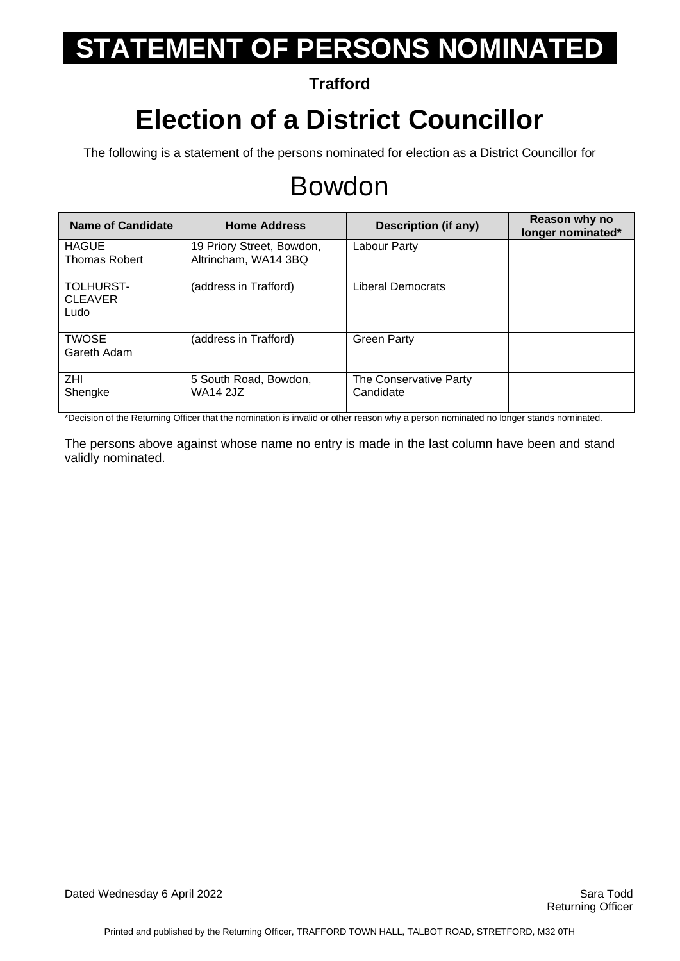**Trafford**

### **Election of a District Councillor**

The following is a statement of the persons nominated for election as a District Councillor for

#### Bowdon

| <b>Name of Candidate</b>                   | <b>Home Address</b>                               | Description (if any)                | Reason why no<br>longer nominated* |
|--------------------------------------------|---------------------------------------------------|-------------------------------------|------------------------------------|
| <b>HAGUE</b><br><b>Thomas Robert</b>       | 19 Priory Street, Bowdon,<br>Altrincham, WA14 3BQ | Labour Party                        |                                    |
| <b>TOLHURST-</b><br><b>CLEAVER</b><br>Ludo | (address in Trafford)                             | Liberal Democrats                   |                                    |
| <b>TWOSE</b><br>Gareth Adam                | (address in Trafford)                             | <b>Green Party</b>                  |                                    |
| ZHI.<br>Shengke                            | 5 South Road, Bowdon,<br><b>WA14 2JZ</b>          | The Conservative Party<br>Candidate |                                    |

\*Decision of the Returning Officer that the nomination is invalid or other reason why a person nominated no longer stands nominated.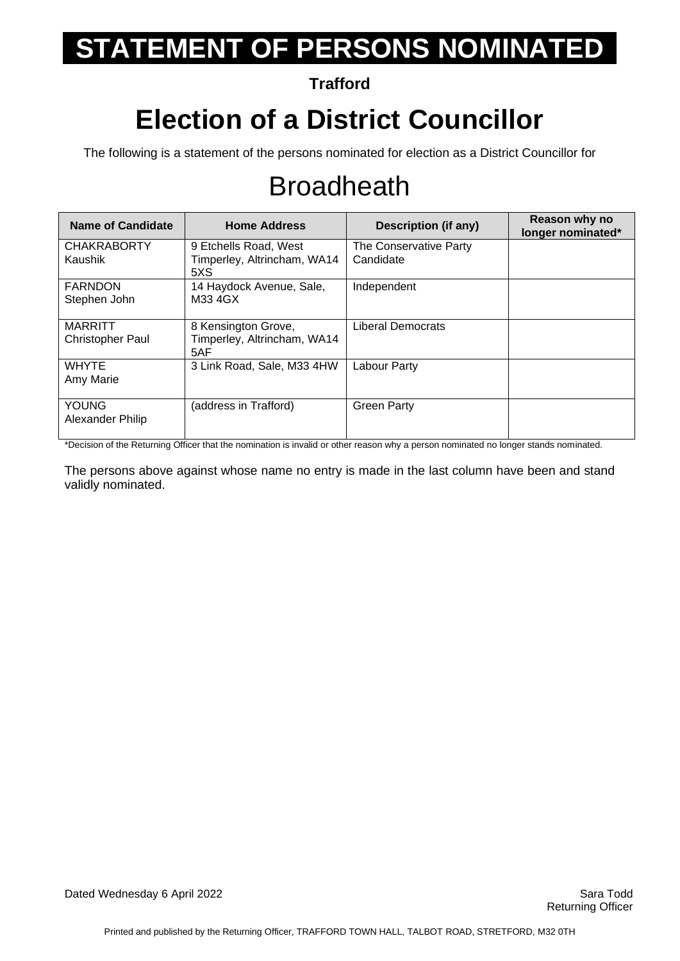#### **Trafford**

## **Election of a District Councillor**

The following is a statement of the persons nominated for election as a District Councillor for

## **Broadheath**

| <b>Name of Candidate</b>                  | <b>Home Address</b>                                         | <b>Description (if any)</b>         | Reason why no<br>longer nominated* |
|-------------------------------------------|-------------------------------------------------------------|-------------------------------------|------------------------------------|
| <b>CHAKRABORTY</b><br>Kaushik             | 9 Etchells Road, West<br>Timperley, Altrincham, WA14<br>5XS | The Conservative Party<br>Candidate |                                    |
| <b>FARNDON</b><br>Stephen John            | 14 Haydock Avenue, Sale,<br>M33 4GX                         | Independent                         |                                    |
| <b>MARRITT</b><br><b>Christopher Paul</b> | 8 Kensington Grove,<br>Timperley, Altrincham, WA14<br>5AF   | Liberal Democrats                   |                                    |
| <b>WHYTE</b><br>Amy Marie                 | 3 Link Road, Sale, M33 4HW                                  | Labour Party                        |                                    |
| <b>YOUNG</b><br>Alexander Philip          | (address in Trafford)                                       | <b>Green Party</b>                  |                                    |

\*Decision of the Returning Officer that the nomination is invalid or other reason why a person nominated no longer stands nominated.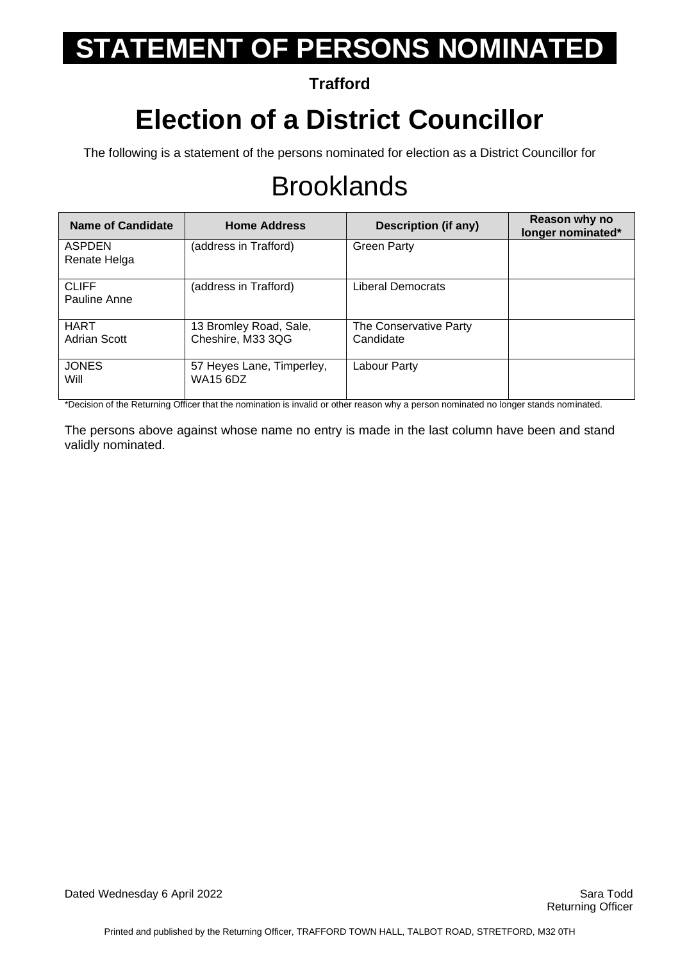**Trafford**

## **Election of a District Councillor**

The following is a statement of the persons nominated for election as a District Councillor for

## **Brooklands**

| Name of Candidate            | <b>Home Address</b>                          | Description (if any)                | Reason why no<br>longer nominated* |
|------------------------------|----------------------------------------------|-------------------------------------|------------------------------------|
| ASPDEN<br>Renate Helga       | (address in Trafford)                        | <b>Green Party</b>                  |                                    |
| <b>CLIFF</b><br>Pauline Anne | (address in Trafford)                        | Liberal Democrats                   |                                    |
| <b>HART</b><br>Adrian Scott  | 13 Bromley Road, Sale,<br>Cheshire, M33 3QG  | The Conservative Party<br>Candidate |                                    |
| <b>JONES</b><br>Will         | 57 Heyes Lane, Timperley,<br><b>WA15 6DZ</b> | Labour Party                        |                                    |

\*Decision of the Returning Officer that the nomination is invalid or other reason why a person nominated no longer stands nominated.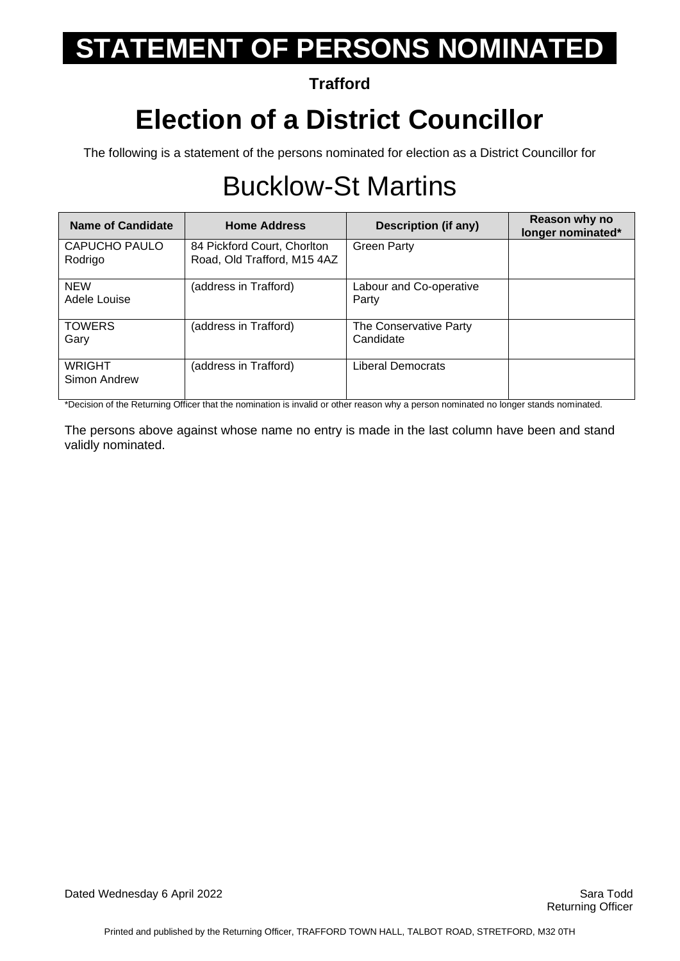#### **Trafford**

## **Election of a District Councillor**

The following is a statement of the persons nominated for election as a District Councillor for

## Bucklow-St Martins

| Name of Candidate             | <b>Home Address</b>                                        | Description (if any)                | Reason why no<br>longer nominated* |
|-------------------------------|------------------------------------------------------------|-------------------------------------|------------------------------------|
| CAPUCHO PAULO<br>Rodrigo      | 84 Pickford Court, Chorlton<br>Road, Old Trafford, M15 4AZ | <b>Green Party</b>                  |                                    |
| <b>NEW</b><br>Adele Louise    | (address in Trafford)                                      | Labour and Co-operative<br>Party    |                                    |
| <b>TOWERS</b><br>Gary         | (address in Trafford)                                      | The Conservative Party<br>Candidate |                                    |
| <b>WRIGHT</b><br>Simon Andrew | (address in Trafford)                                      | Liberal Democrats                   |                                    |

\*Decision of the Returning Officer that the nomination is invalid or other reason why a person nominated no longer stands nominated.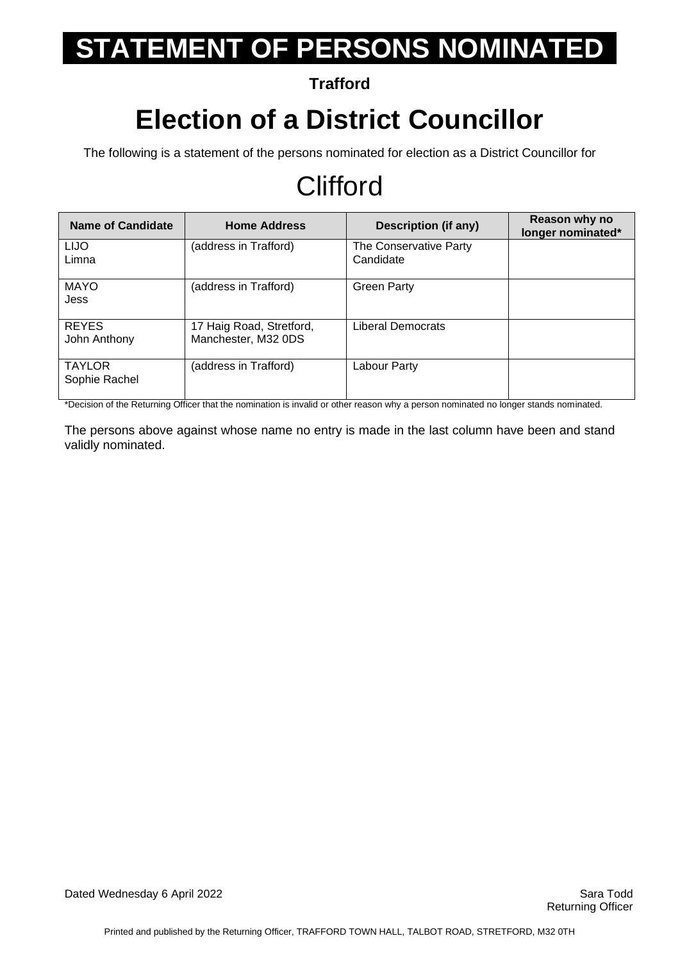**Trafford**

### **Election of a District Councillor**

The following is a statement of the persons nominated for election as a District Councillor for

## **Clifford**

| <b>Name of Candidate</b>       | <b>Home Address</b>                             | Description (if any)                | Reason why no<br>longer nominated* |
|--------------------------------|-------------------------------------------------|-------------------------------------|------------------------------------|
| <b>LIJO</b><br>Limna           | (address in Trafford)                           | The Conservative Party<br>Candidate |                                    |
| <b>MAYO</b><br>Jess            | (address in Trafford)                           | <b>Green Party</b>                  |                                    |
| <b>REYES</b><br>John Anthony   | 17 Haig Road, Stretford,<br>Manchester, M32 0DS | <b>Liberal Democrats</b>            |                                    |
| <b>TAYLOR</b><br>Sophie Rachel | (address in Trafford)                           | Labour Party                        |                                    |

\*Decision of the Returning Officer that the nomination is invalid or other reason why a person nominated no longer stands nominated.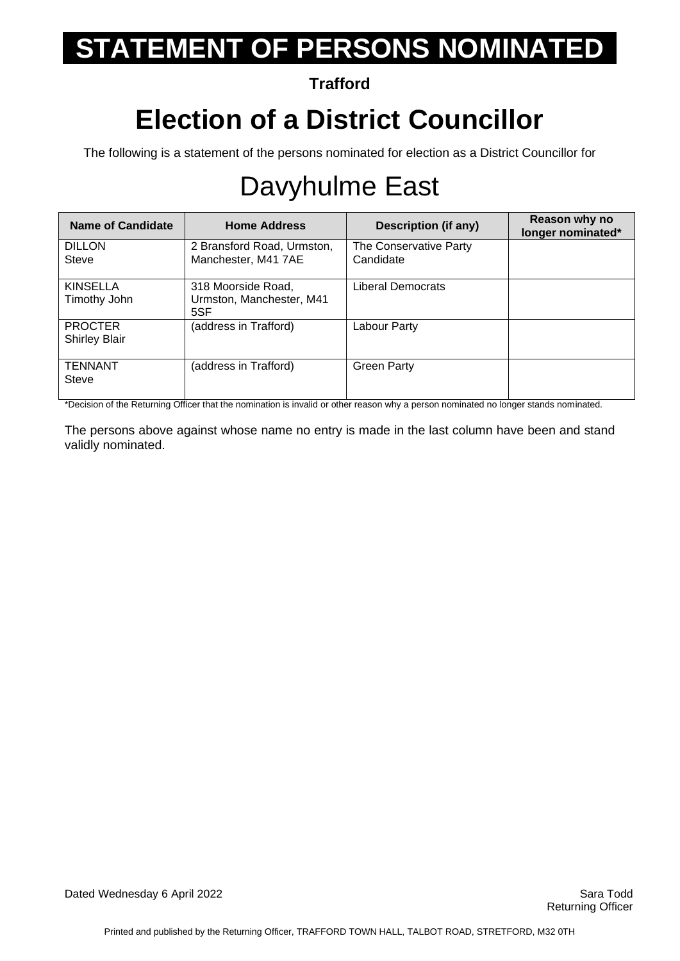#### **Trafford**

## **Election of a District Councillor**

The following is a statement of the persons nominated for election as a District Councillor for

## Davyhulme East

| <b>Name of Candidate</b>               | <b>Home Address</b>                                   | <b>Description (if any)</b>         | Reason why no<br>longer nominated* |
|----------------------------------------|-------------------------------------------------------|-------------------------------------|------------------------------------|
| <b>DILLON</b><br><b>Steve</b>          | 2 Bransford Road, Urmston,<br>Manchester, M41 7AE     | The Conservative Party<br>Candidate |                                    |
| <b>KINSELLA</b><br>Timothy John        | 318 Moorside Road,<br>Urmston, Manchester, M41<br>5SF | <b>Liberal Democrats</b>            |                                    |
| <b>PROCTER</b><br><b>Shirley Blair</b> | (address in Trafford)                                 | Labour Party                        |                                    |
| <b>TENNANT</b><br><b>Steve</b>         | (address in Trafford)                                 | <b>Green Party</b>                  |                                    |

\*Decision of the Returning Officer that the nomination is invalid or other reason why a person nominated no longer stands nominated.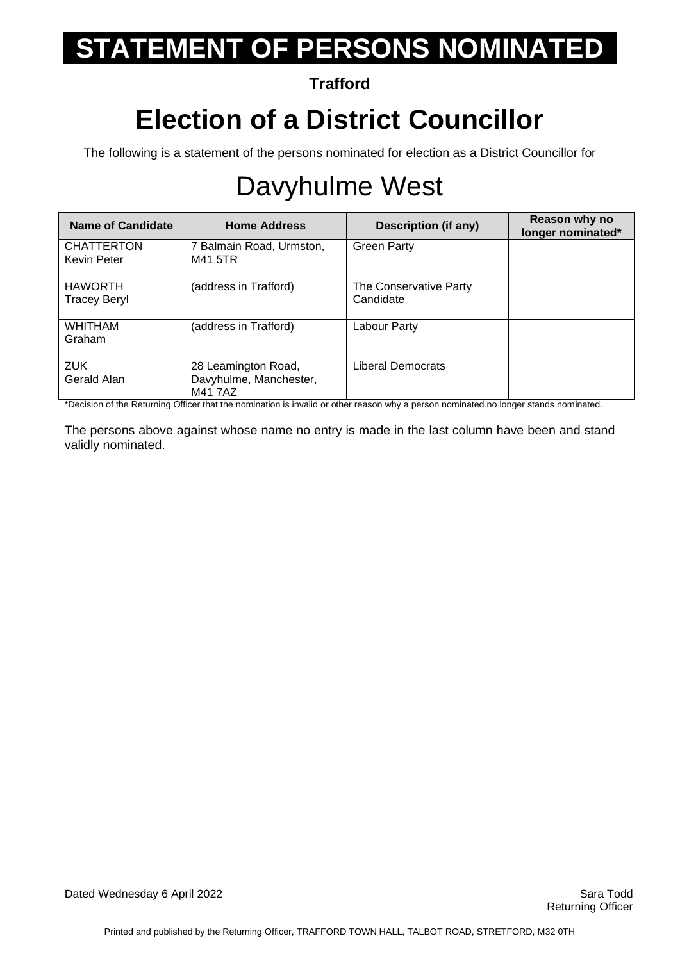#### **Trafford**

## **Election of a District Councillor**

The following is a statement of the persons nominated for election as a District Councillor for

## Davyhulme West

| Name of Candidate                | <b>Home Address</b>                                      | Description (if any)                | Reason why no<br>longer nominated* |
|----------------------------------|----------------------------------------------------------|-------------------------------------|------------------------------------|
| <b>CHATTERTON</b><br>Kevin Peter | 7 Balmain Road, Urmston,<br>M41 5TR                      | <b>Green Party</b>                  |                                    |
| <b>HAWORTH</b><br>Tracey Beryl   | (address in Trafford)                                    | The Conservative Party<br>Candidate |                                    |
| <b>WHITHAM</b><br>Graham         | (address in Trafford)                                    | Labour Party                        |                                    |
| <b>ZUK</b><br>Gerald Alan        | 28 Leamington Road,<br>Davyhulme, Manchester,<br>M41 7AZ | Liberal Democrats                   |                                    |

\*Decision of the Returning Officer that the nomination is invalid or other reason why a person nominated no longer stands nominated.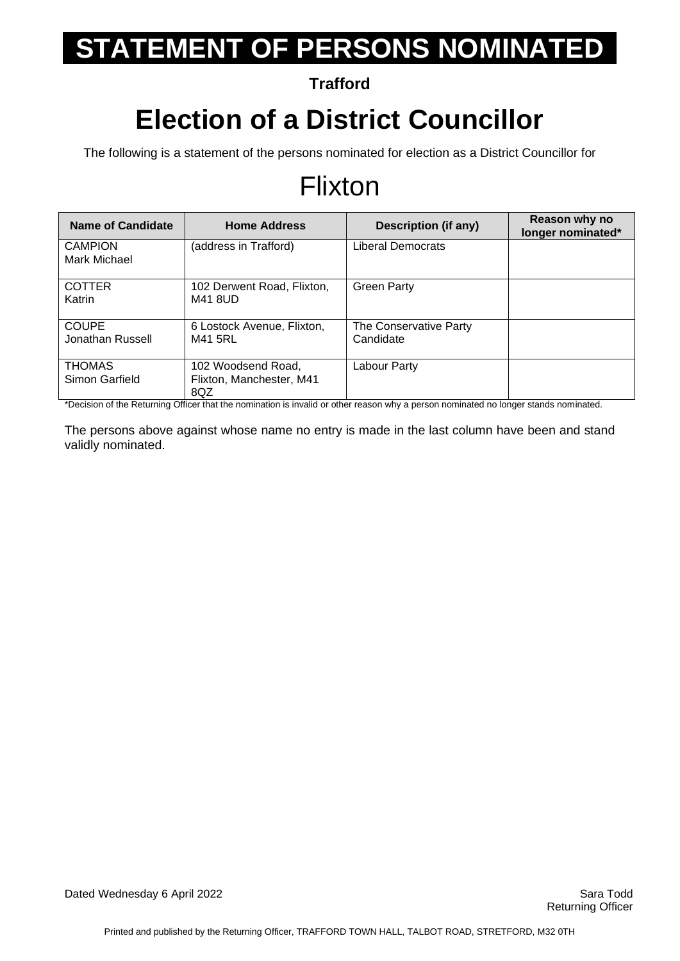**Trafford**

#### **Election of a District Councillor**

The following is a statement of the persons nominated for election as a District Councillor for

#### Flixton

| <b>Name of Candidate</b>         | <b>Home Address</b>                                   | Description (if any)                | Reason why no<br>longer nominated* |
|----------------------------------|-------------------------------------------------------|-------------------------------------|------------------------------------|
| <b>CAMPION</b><br>Mark Michael   | (address in Trafford)                                 | Liberal Democrats                   |                                    |
| <b>COTTER</b><br>Katrin          | 102 Derwent Road, Flixton,<br>M41 8UD                 | <b>Green Party</b>                  |                                    |
| <b>COUPE</b><br>Jonathan Russell | 6 Lostock Avenue, Flixton,<br>M41 5RL                 | The Conservative Party<br>Candidate |                                    |
| <b>THOMAS</b><br>Simon Garfield  | 102 Woodsend Road.<br>Flixton, Manchester, M41<br>8QZ | Labour Party                        |                                    |

\*Decision of the Returning Officer that the nomination is invalid or other reason why a person nominated no longer stands nominated.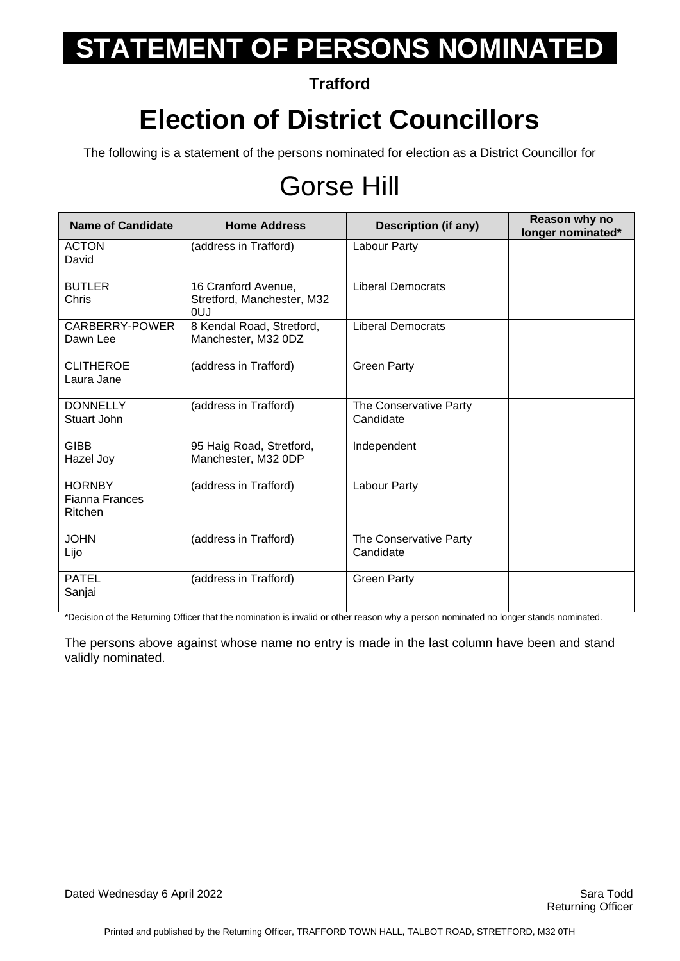**Trafford**

## **Election of District Councillors**

The following is a statement of the persons nominated for election as a District Councillor for

## Gorse Hill

| <b>Name of Candidate</b>                   | <b>Home Address</b>                                      | <b>Description (if any)</b>         | Reason why no<br>longer nominated* |
|--------------------------------------------|----------------------------------------------------------|-------------------------------------|------------------------------------|
| <b>ACTON</b><br>David                      | (address in Trafford)                                    | Labour Party                        |                                    |
| <b>BUTLER</b><br>Chris                     | 16 Cranford Avenue,<br>Stretford, Manchester, M32<br>0UJ | <b>Liberal Democrats</b>            |                                    |
| CARBERRY-POWER<br>Dawn Lee                 | 8 Kendal Road, Stretford,<br>Manchester, M32 0DZ         | <b>Liberal Democrats</b>            |                                    |
| <b>CLITHEROE</b><br>Laura Jane             | (address in Trafford)                                    | <b>Green Party</b>                  |                                    |
| <b>DONNELLY</b><br>Stuart John             | (address in Trafford)                                    | The Conservative Party<br>Candidate |                                    |
| <b>GIBB</b><br>Hazel Joy                   | 95 Haig Road, Stretford,<br>Manchester, M32 0DP          | Independent                         |                                    |
| <b>HORNBY</b><br>Fianna Frances<br>Ritchen | (address in Trafford)                                    | Labour Party                        |                                    |
| <b>JOHN</b><br>Lijo                        | (address in Trafford)                                    | The Conservative Party<br>Candidate |                                    |
| <b>PATEL</b><br>Sanjai                     | (address in Trafford)                                    | <b>Green Party</b>                  |                                    |

\*Decision of the Returning Officer that the nomination is invalid or other reason why a person nominated no longer stands nominated.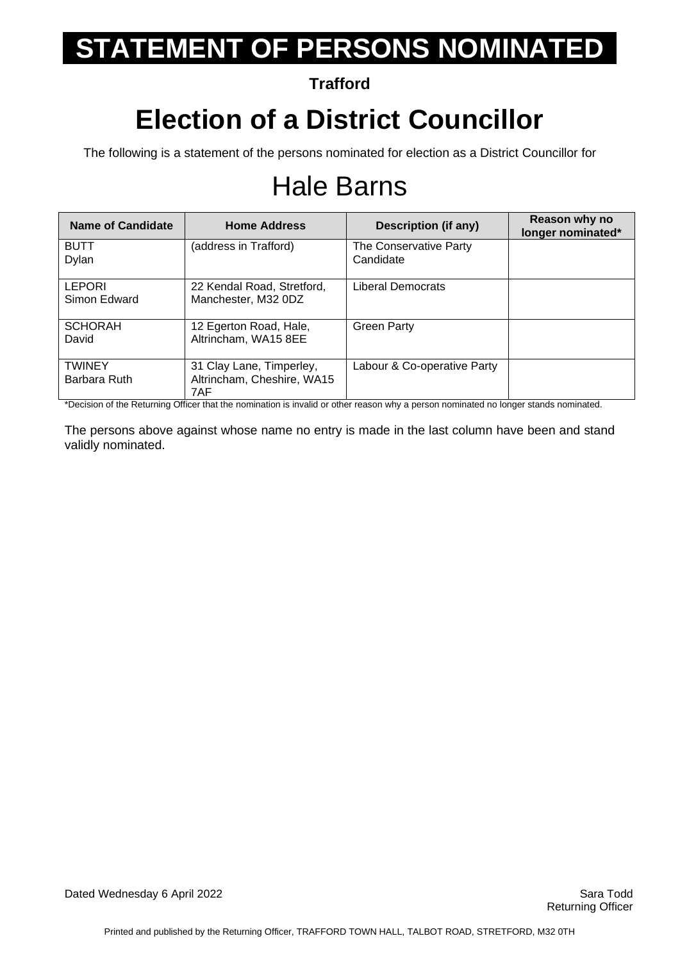**Trafford**

### **Election of a District Councillor**

The following is a statement of the persons nominated for election as a District Councillor for

## Hale Barns

| <b>Name of Candidate</b>      | <b>Home Address</b>                                           | Description (if any)                | Reason why no<br>longer nominated* |
|-------------------------------|---------------------------------------------------------------|-------------------------------------|------------------------------------|
| <b>BUTT</b><br>Dylan          | (address in Trafford)                                         | The Conservative Party<br>Candidate |                                    |
| <b>LEPORI</b><br>Simon Edward | 22 Kendal Road, Stretford,<br>Manchester, M32 0DZ             | Liberal Democrats                   |                                    |
| <b>SCHORAH</b><br>David       | 12 Egerton Road, Hale,<br>Altrincham, WA15 8EE                | <b>Green Party</b>                  |                                    |
| <b>TWINEY</b><br>Barbara Ruth | 31 Clay Lane, Timperley,<br>Altrincham, Cheshire, WA15<br>7AF | Labour & Co-operative Party         |                                    |

\*Decision of the Returning Officer that the nomination is invalid or other reason why a person nominated no longer stands nominated.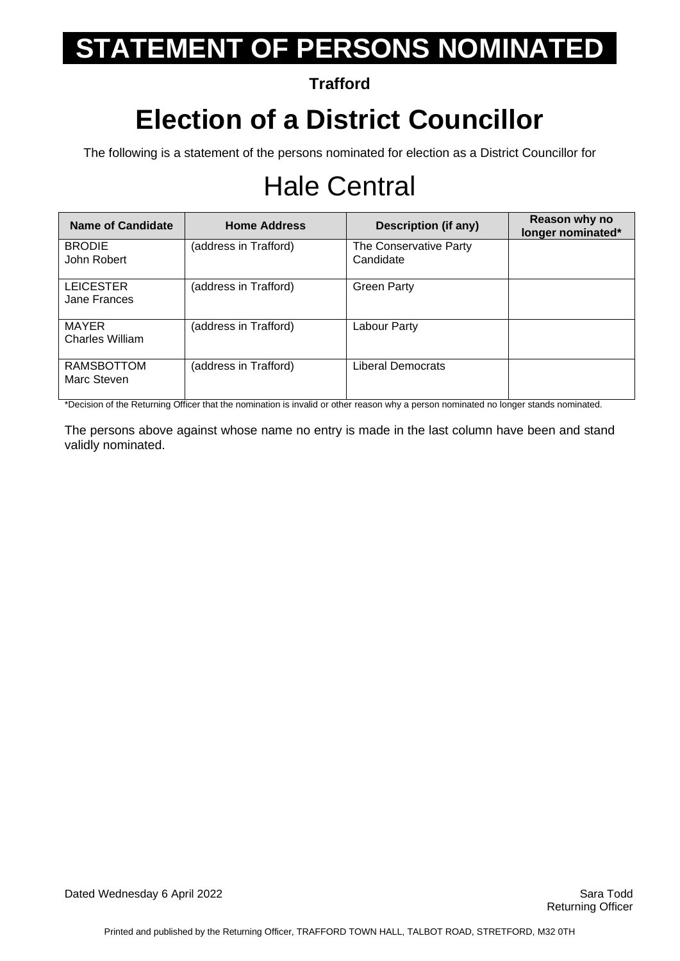#### **Trafford**

## **Election of a District Councillor**

The following is a statement of the persons nominated for election as a District Councillor for

## Hale Central

| Name of Candidate                | <b>Home Address</b>   | Description (if any)                | Reason why no<br>longer nominated* |
|----------------------------------|-----------------------|-------------------------------------|------------------------------------|
| <b>BRODIE</b><br>John Robert     | (address in Trafford) | The Conservative Party<br>Candidate |                                    |
| <b>LEICESTER</b><br>Jane Frances | (address in Trafford) | <b>Green Party</b>                  |                                    |
| MAYER<br><b>Charles William</b>  | (address in Trafford) | Labour Party                        |                                    |
| <b>RAMSBOTTOM</b><br>Marc Steven | (address in Trafford) | Liberal Democrats                   |                                    |

\*Decision of the Returning Officer that the nomination is invalid or other reason why a person nominated no longer stands nominated.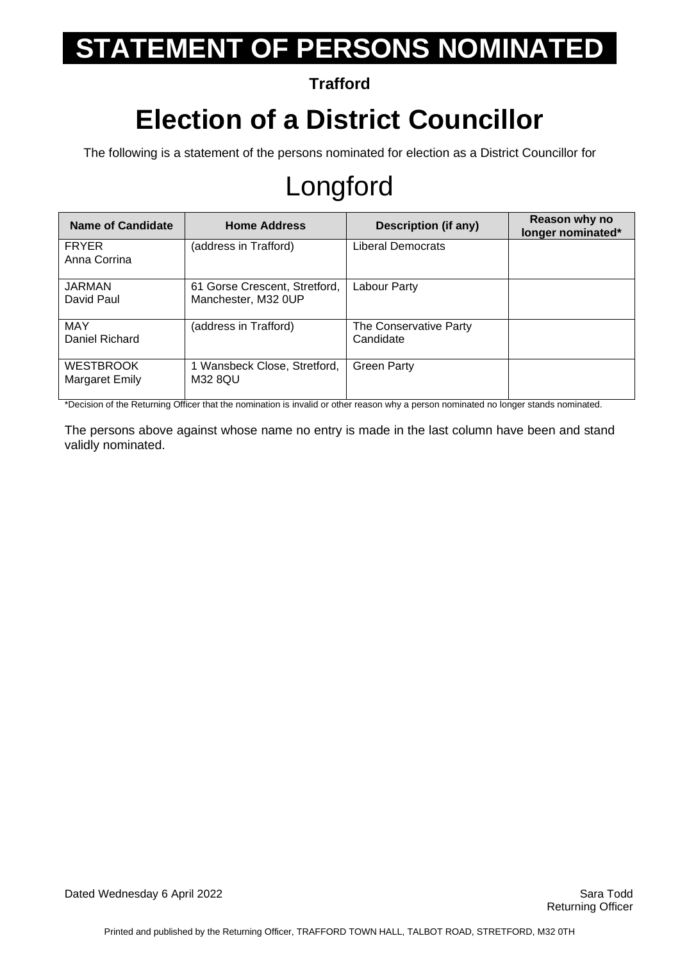#### **Trafford**

## **Election of a District Councillor**

The following is a statement of the persons nominated for election as a District Councillor for

## Longford

| Name of Candidate                  | <b>Home Address</b>                                  | <b>Description (if any)</b>         | Reason why no<br>longer nominated* |
|------------------------------------|------------------------------------------------------|-------------------------------------|------------------------------------|
| <b>FRYER</b><br>Anna Corrina       | (address in Trafford)                                | Liberal Democrats                   |                                    |
| <b>JARMAN</b><br>David Paul        | 61 Gorse Crescent, Stretford,<br>Manchester, M32 OUP | Labour Party                        |                                    |
| MAY<br>Daniel Richard              | (address in Trafford)                                | The Conservative Party<br>Candidate |                                    |
| <b>WESTBROOK</b><br>Margaret Emily | 1 Wansbeck Close, Stretford,<br>M32 8QU              | <b>Green Party</b>                  |                                    |

\*Decision of the Returning Officer that the nomination is invalid or other reason why a person nominated no longer stands nominated.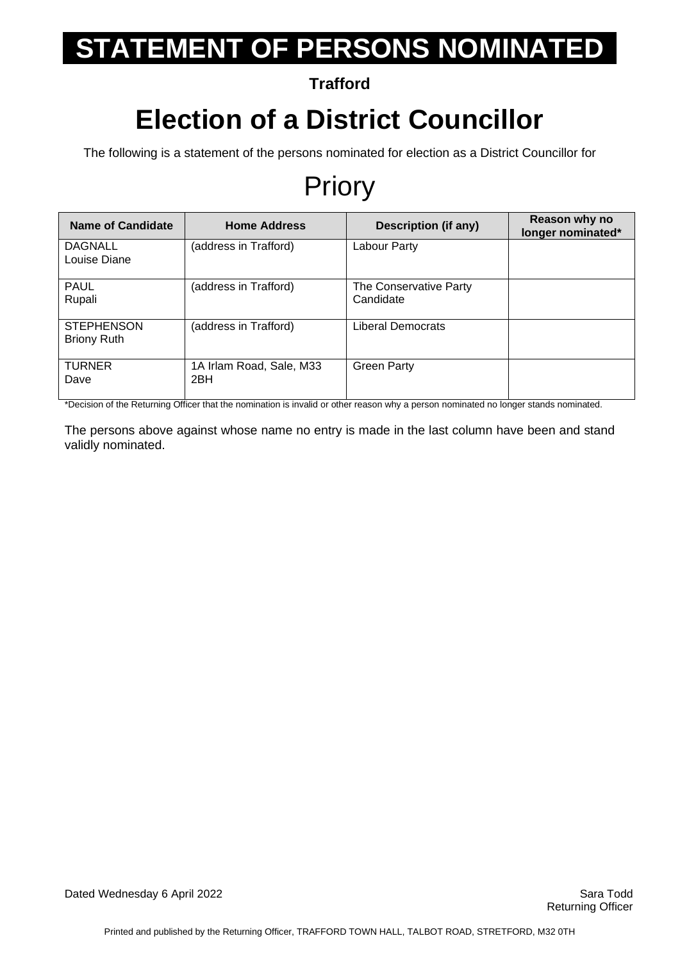**Trafford**

#### **Election of a District Councillor**

The following is a statement of the persons nominated for election as a District Councillor for

### Priory

| Name of Candidate                       | <b>Home Address</b>             | <b>Description (if any)</b>         | Reason why no<br>longer nominated* |
|-----------------------------------------|---------------------------------|-------------------------------------|------------------------------------|
| <b>DAGNALL</b><br>Louise Diane          | (address in Trafford)           | Labour Party                        |                                    |
| <b>PAUL</b><br>Rupali                   | (address in Trafford)           | The Conservative Party<br>Candidate |                                    |
| <b>STEPHENSON</b><br><b>Briony Ruth</b> | (address in Trafford)           | <b>Liberal Democrats</b>            |                                    |
| <b>TURNER</b><br>Dave                   | 1A Irlam Road, Sale, M33<br>2BH | <b>Green Party</b>                  |                                    |

\*Decision of the Returning Officer that the nomination is invalid or other reason why a person nominated no longer stands nominated.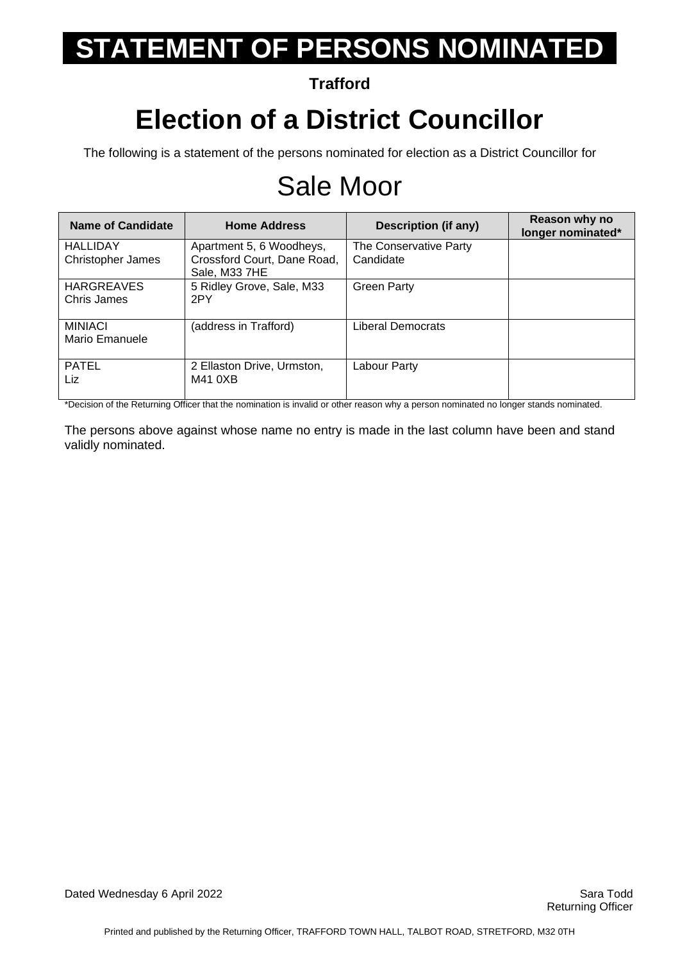**Trafford**

### **Election of a District Councillor**

The following is a statement of the persons nominated for election as a District Councillor for

## Sale Moor

| Name of Candidate                           | <b>Home Address</b>                                                      | Description (if any)                | Reason why no<br>longer nominated* |
|---------------------------------------------|--------------------------------------------------------------------------|-------------------------------------|------------------------------------|
| <b>HALLIDAY</b><br><b>Christopher James</b> | Apartment 5, 6 Woodheys,<br>Crossford Court, Dane Road,<br>Sale, M33 7HE | The Conservative Party<br>Candidate |                                    |
| <b>HARGREAVES</b><br>Chris James            | 5 Ridley Grove, Sale, M33<br>2PY                                         | <b>Green Party</b>                  |                                    |
| <b>MINIACI</b><br>Mario Emanuele            | (address in Trafford)                                                    | Liberal Democrats                   |                                    |
| <b>PATEL</b><br>Liz.                        | 2 Ellaston Drive, Urmston,<br>M41 0XB                                    | Labour Party                        |                                    |

\*Decision of the Returning Officer that the nomination is invalid or other reason why a person nominated no longer stands nominated.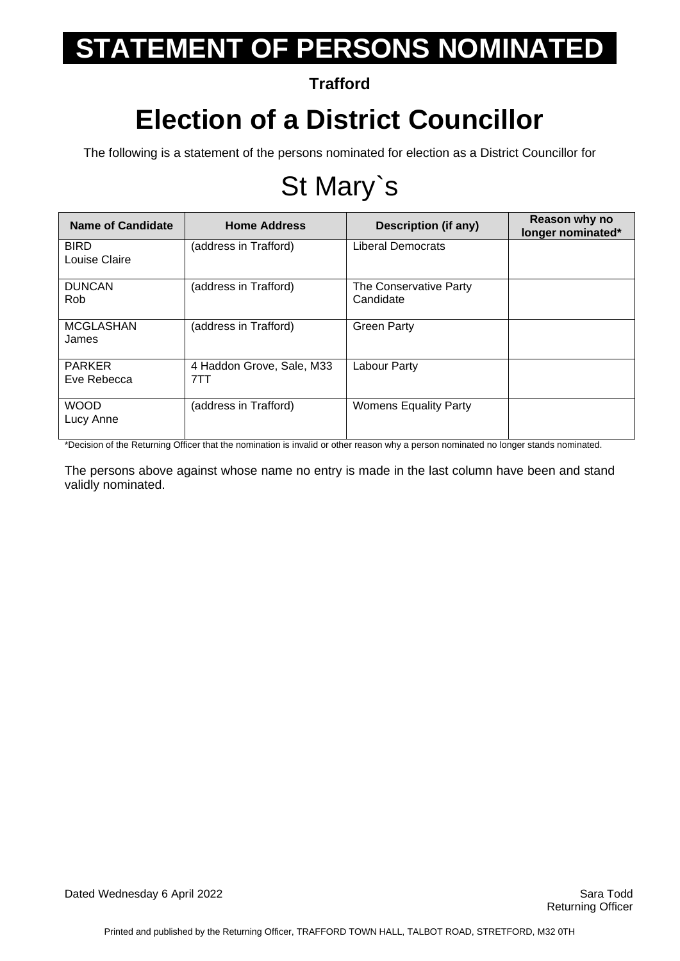**Trafford**

#### **Election of a District Councillor**

The following is a statement of the persons nominated for election as a District Councillor for

## St Mary`s

| <b>Name of Candidate</b>     | <b>Home Address</b>              | <b>Description (if any)</b>         | Reason why no<br>longer nominated* |
|------------------------------|----------------------------------|-------------------------------------|------------------------------------|
| <b>BIRD</b><br>Louise Claire | (address in Trafford)            | <b>Liberal Democrats</b>            |                                    |
| <b>DUNCAN</b><br><b>Rob</b>  | (address in Trafford)            | The Conservative Party<br>Candidate |                                    |
| <b>MCGLASHAN</b><br>James    | (address in Trafford)            | <b>Green Party</b>                  |                                    |
| <b>PARKER</b><br>Eve Rebecca | 4 Haddon Grove, Sale, M33<br>7TT | Labour Party                        |                                    |
| <b>WOOD</b><br>Lucy Anne     | (address in Trafford)            | <b>Womens Equality Party</b>        |                                    |

\*Decision of the Returning Officer that the nomination is invalid or other reason why a person nominated no longer stands nominated.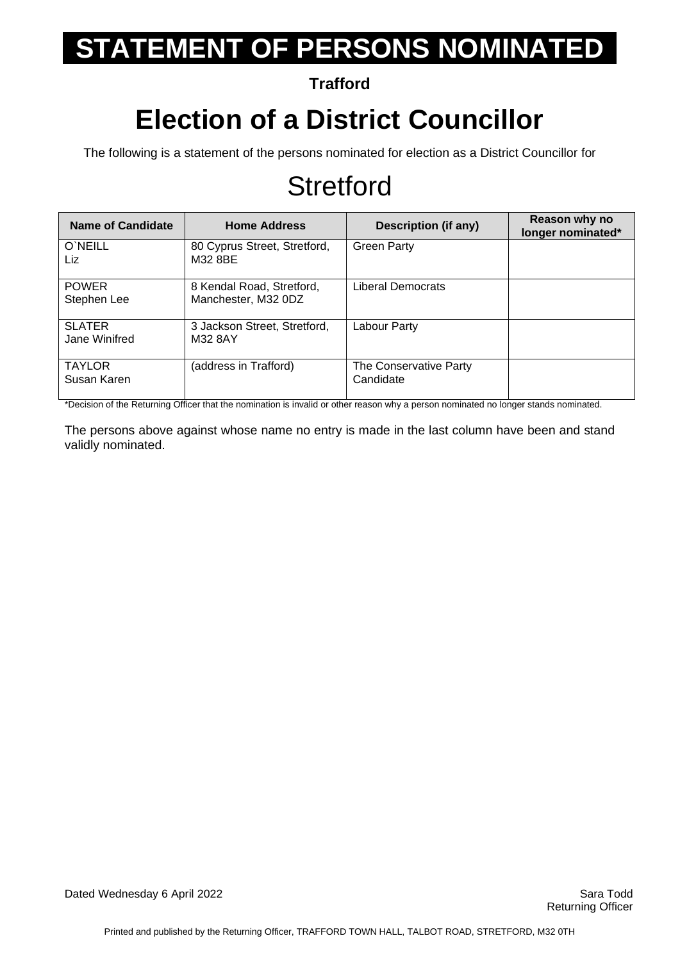**Trafford**

### **Election of a District Councillor**

The following is a statement of the persons nominated for election as a District Councillor for

### **Stretford**

| Name of Candidate              | <b>Home Address</b>                              | Description (if any)                | Reason why no<br>longer nominated* |
|--------------------------------|--------------------------------------------------|-------------------------------------|------------------------------------|
| O'NEILL<br>Liz                 | 80 Cyprus Street, Stretford,<br>M32 8BE          | <b>Green Party</b>                  |                                    |
| <b>POWER</b><br>Stephen Lee    | 8 Kendal Road, Stretford,<br>Manchester, M32 0DZ | Liberal Democrats                   |                                    |
| <b>SLATER</b><br>Jane Winifred | 3 Jackson Street, Stretford,<br>M32 8AY          | Labour Party                        |                                    |
| <b>TAYLOR</b><br>Susan Karen   | (address in Trafford)                            | The Conservative Party<br>Candidate |                                    |

\*Decision of the Returning Officer that the nomination is invalid or other reason why a person nominated no longer stands nominated.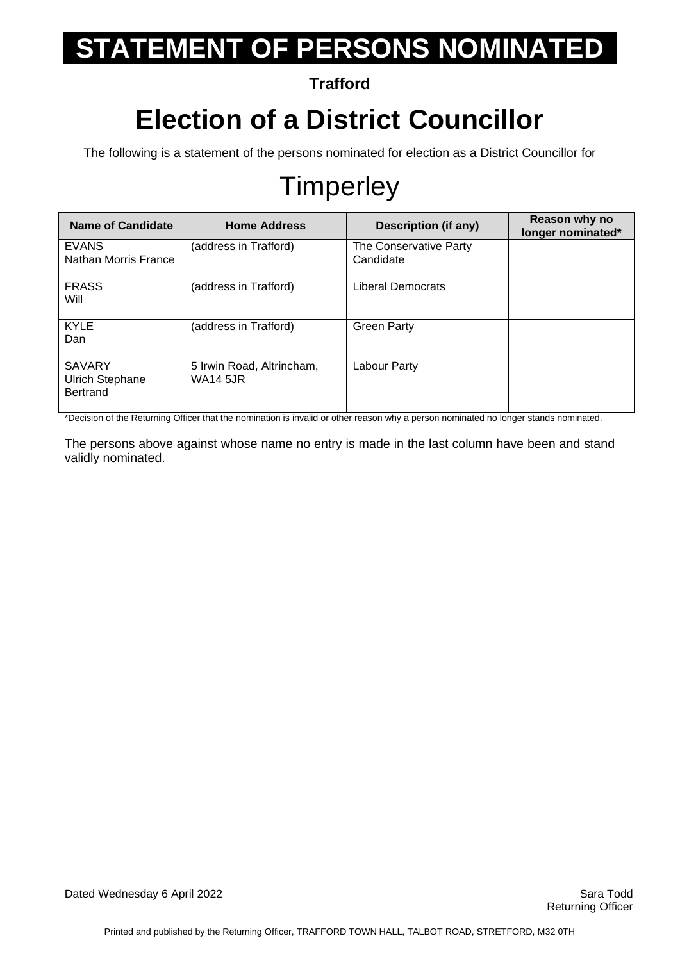**Trafford**

## **Election of a District Councillor**

The following is a statement of the persons nominated for election as a District Councillor for

## **Timperley**

| <b>Name of Candidate</b>                                   | <b>Home Address</b>                          | Description (if any)                | Reason why no<br>longer nominated* |
|------------------------------------------------------------|----------------------------------------------|-------------------------------------|------------------------------------|
| <b>EVANS</b><br>Nathan Morris France                       | (address in Trafford)                        | The Conservative Party<br>Candidate |                                    |
| <b>FRASS</b><br>Will                                       | (address in Trafford)                        | Liberal Democrats                   |                                    |
| <b>KYLE</b><br>Dan                                         | (address in Trafford)                        | <b>Green Party</b>                  |                                    |
| <b>SAVARY</b><br><b>Ulrich Stephane</b><br><b>Bertrand</b> | 5 Irwin Road, Altrincham,<br><b>WA14 5JR</b> | Labour Party                        |                                    |

\*Decision of the Returning Officer that the nomination is invalid or other reason why a person nominated no longer stands nominated.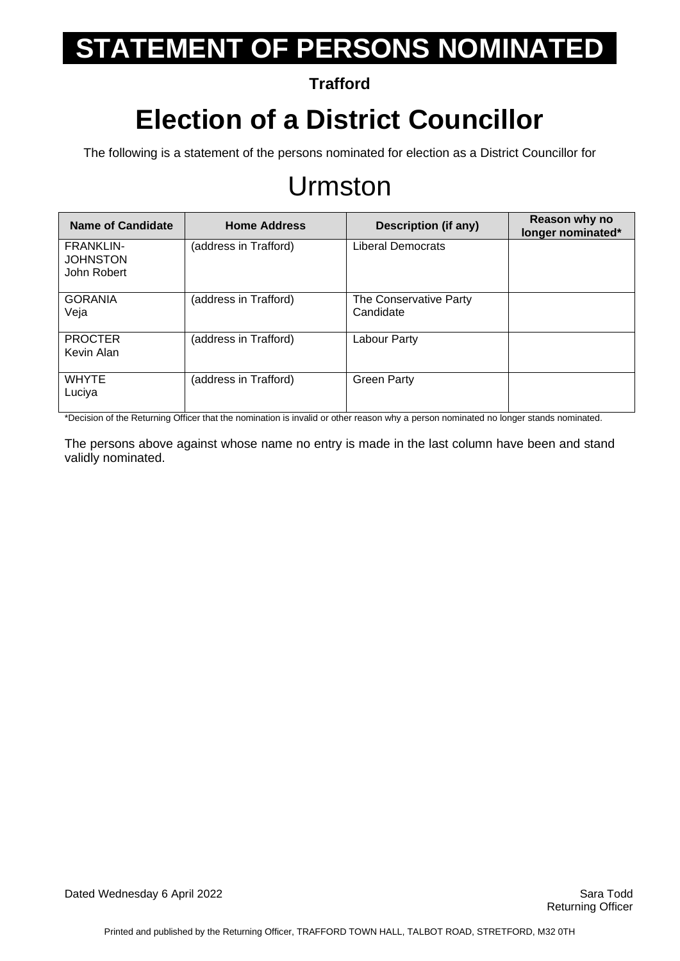#### **Trafford**

## **Election of a District Councillor**

The following is a statement of the persons nominated for election as a District Councillor for

#### Urmston

| <b>Name of Candidate</b>                           | <b>Home Address</b>   | Description (if any)                | Reason why no<br>longer nominated* |
|----------------------------------------------------|-----------------------|-------------------------------------|------------------------------------|
| <b>FRANKLIN-</b><br><b>JOHNSTON</b><br>John Robert | (address in Trafford) | <b>Liberal Democrats</b>            |                                    |
| <b>GORANIA</b><br>Veja                             | (address in Trafford) | The Conservative Party<br>Candidate |                                    |
| <b>PROCTER</b><br>Kevin Alan                       | (address in Trafford) | Labour Party                        |                                    |
| <b>WHYTE</b><br>Luciya                             | (address in Trafford) | <b>Green Party</b>                  |                                    |

\*Decision of the Returning Officer that the nomination is invalid or other reason why a person nominated no longer stands nominated.